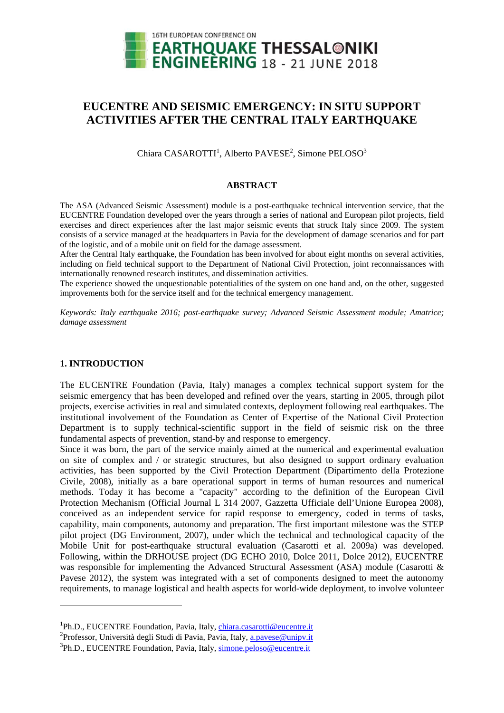

# **EUCENTRE AND SEISMIC EMERGENCY: IN SITU SUPPORT ACTIVITIES AFTER THE CENTRAL ITALY EARTHQUAKE**

Chiara CASAROTTI<sup>1</sup>, Alberto PAVESE<sup>2</sup>, Simone PELOSO<sup>3</sup>

#### **ABSTRACT**

The ASA (Advanced Seismic Assessment) module is a post-earthquake technical intervention service, that the EUCENTRE Foundation developed over the years through a series of national and European pilot projects, field exercises and direct experiences after the last major seismic events that struck Italy since 2009. The system consists of a service managed at the headquarters in Pavia for the development of damage scenarios and for part of the logistic, and of a mobile unit on field for the damage assessment.

After the Central Italy earthquake, the Foundation has been involved for about eight months on several activities, including on field technical support to the Department of National Civil Protection, joint reconnaissances with internationally renowned research institutes, and dissemination activities.

The experience showed the unquestionable potentialities of the system on one hand and, on the other, suggested improvements both for the service itself and for the technical emergency management.

*Keywords: Italy earthquake 2016; post-earthquake survey; Advanced Seismic Assessment module; Amatrice; damage assessment* 

## **1. INTRODUCTION**

1

The EUCENTRE Foundation (Pavia, Italy) manages a complex technical support system for the seismic emergency that has been developed and refined over the years, starting in 2005, through pilot projects, exercise activities in real and simulated contexts, deployment following real earthquakes. The institutional involvement of the Foundation as Center of Expertise of the National Civil Protection Department is to supply technical-scientific support in the field of seismic risk on the three fundamental aspects of prevention, stand-by and response to emergency.

Since it was born, the part of the service mainly aimed at the numerical and experimental evaluation on site of complex and / or strategic structures, but also designed to support ordinary evaluation activities, has been supported by the Civil Protection Department (Dipartimento della Protezione Civile, 2008), initially as a bare operational support in terms of human resources and numerical methods. Today it has become a "capacity" according to the definition of the European Civil Protection Mechanism (Official Journal L 314 2007, Gazzetta Ufficiale dell'Unione Europea 2008), conceived as an independent service for rapid response to emergency, coded in terms of tasks, capability, main components, autonomy and preparation. The first important milestone was the STEP pilot project (DG Environment, 2007), under which the technical and technological capacity of the Mobile Unit for post-earthquake structural evaluation (Casarotti et al. 2009a) was developed. Following, within the DRHOUSE project (DG ECHO 2010, Dolce 2011, Dolce 2012), EUCENTRE was responsible for implementing the Advanced Structural Assessment (ASA) module (Casarotti & Pavese 2012), the system was integrated with a set of components designed to meet the autonomy requirements, to manage logistical and health aspects for world-wide deployment, to involve volunteer

<sup>&</sup>lt;sup>1</sup>Ph.D., EUCENTRE Foundation, Pavia, Italy, chiara.casarotti@eucentre.it<br><sup>2</sup>Professor, Università degli Studi di Pavia, Pavia, Italy, a pavese@uniny it

<sup>&</sup>lt;sup>2</sup> Professor, Università degli Studi di Pavia, Pavia, Italy, a.pavese@unipv.it

<sup>&</sup>lt;sup>3</sup>Ph.D., EUCENTRE Foundation, Pavia, Italy, simone.peloso@eucentre.it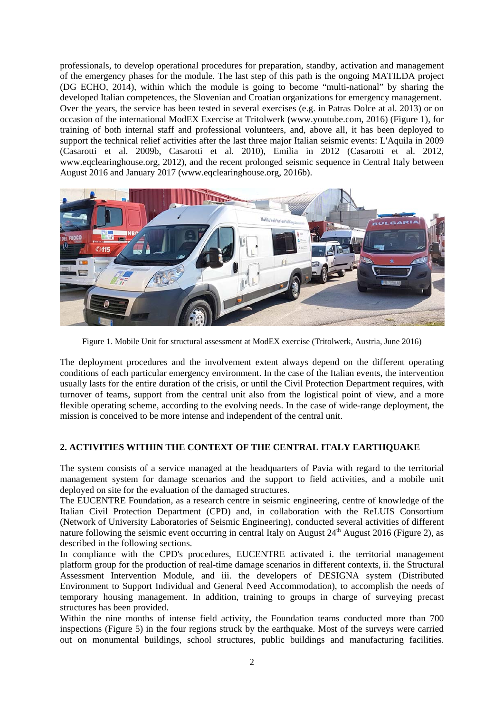professionals, to develop operational procedures for preparation, standby, activation and management of the emergency phases for the module. The last step of this path is the ongoing MATILDA project (DG ECHO, 2014), within which the module is going to become "multi-national" by sharing the developed Italian competences, the Slovenian and Croatian organizations for emergency management. Over the years, the service has been tested in several exercises (e.g. in Patras Dolce at al. 2013) or on occasion of the international ModEX Exercise at Tritolwerk (www.youtube.com, 2016) (Figure 1), for training of both internal staff and professional volunteers, and, above all, it has been deployed to support the technical relief activities after the last three major Italian seismic events: L'Aquila in 2009 (Casarotti et al. 2009b, Casarotti et al. 2010), Emilia in 2012 (Casarotti et al. 2012, www.eqclearinghouse.org, 2012), and the recent prolonged seismic sequence in Central Italy between August 2016 and January 2017 (www.eqclearinghouse.org, 2016b).



Figure 1. Mobile Unit for structural assessment at ModEX exercise (Tritolwerk, Austria, June 2016)

The deployment procedures and the involvement extent always depend on the different operating conditions of each particular emergency environment. In the case of the Italian events, the intervention usually lasts for the entire duration of the crisis, or until the Civil Protection Department requires, with turnover of teams, support from the central unit also from the logistical point of view, and a more flexible operating scheme, according to the evolving needs. In the case of wide-range deployment, the mission is conceived to be more intense and independent of the central unit.

## **2. ACTIVITIES WITHIN THE CONTEXT OF THE CENTRAL ITALY EARTHQUAKE**

The system consists of a service managed at the headquarters of Pavia with regard to the territorial management system for damage scenarios and the support to field activities, and a mobile unit deployed on site for the evaluation of the damaged structures.

The EUCENTRE Foundation, as a research centre in seismic engineering, centre of knowledge of the Italian Civil Protection Department (CPD) and, in collaboration with the ReLUIS Consortium (Network of University Laboratories of Seismic Engineering), conducted several activities of different nature following the seismic event occurring in central Italy on August  $24<sup>th</sup>$  August 2016 (Figure 2), as described in the following sections.

In compliance with the CPD's procedures, EUCENTRE activated i. the territorial management platform group for the production of real-time damage scenarios in different contexts, ii. the Structural Assessment Intervention Module, and iii. the developers of DESIGNA system (Distributed Environment to Support Individual and General Need Accommodation), to accomplish the needs of temporary housing management. In addition, training to groups in charge of surveying precast structures has been provided.

Within the nine months of intense field activity, the Foundation teams conducted more than 700 inspections (Figure 5) in the four regions struck by the earthquake. Most of the surveys were carried out on monumental buildings, school structures, public buildings and manufacturing facilities.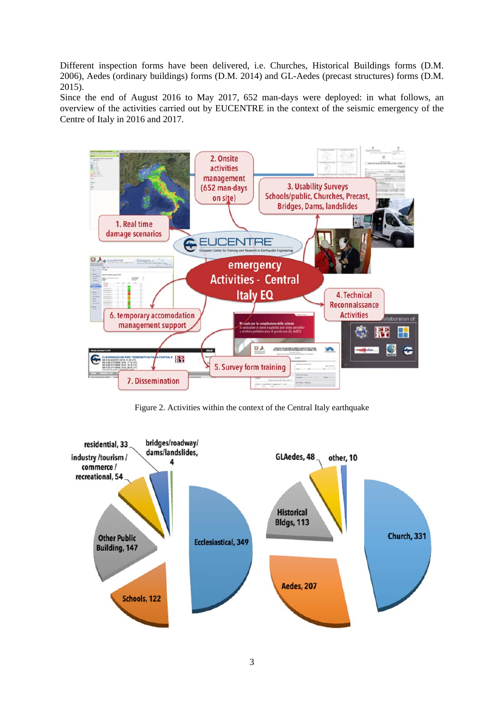Different inspection forms have been delivered, i.e. Churches, Historical Buildings forms (D.M. 2006), Aedes (ordinary buildings) forms (D.M. 2014) and GL-Aedes (precast structures) forms (D.M. 2015).

Since the end of August 2016 to May 2017, 652 man-days were deployed: in what follows, an overview of the activities carried out by EUCENTRE in the context of the seismic emergency of the Centre of Italy in 2016 and 2017.



Figure 2. Activities within the context of the Central Italy earthquake

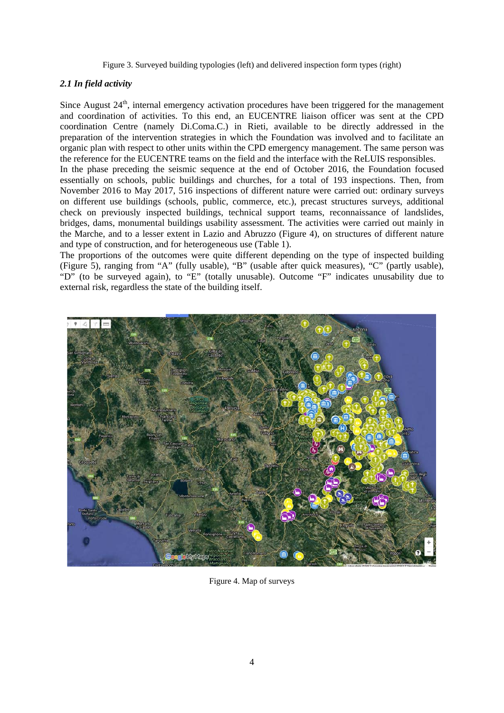Figure 3. Surveyed building typologies (left) and delivered inspection form types (right)

# *2.1 In field activity*

Since August 24<sup>th</sup>, internal emergency activation procedures have been triggered for the management and coordination of activities. To this end, an EUCENTRE liaison officer was sent at the CPD coordination Centre (namely Di.Coma.C.) in Rieti, available to be directly addressed in the preparation of the intervention strategies in which the Foundation was involved and to facilitate an organic plan with respect to other units within the CPD emergency management. The same person was the reference for the EUCENTRE teams on the field and the interface with the ReLUIS responsibles. In the phase preceding the seismic sequence at the end of October 2016, the Foundation focused essentially on schools, public buildings and churches, for a total of 193 inspections. Then, from November 2016 to May 2017, 516 inspections of different nature were carried out: ordinary surveys on different use buildings (schools, public, commerce, etc.), precast structures surveys, additional check on previously inspected buildings, technical support teams, reconnaissance of landslides, bridges, dams, monumental buildings usability assessment. The activities were carried out mainly in the Marche, and to a lesser extent in Lazio and Abruzzo (Figure 4), on structures of different nature and type of construction, and for heterogeneous use (Table 1).

The proportions of the outcomes were quite different depending on the type of inspected building (Figure 5), ranging from "A" (fully usable), "B" (usable after quick measures), "C" (partly usable), "D" (to be surveyed again), to "E" (totally unusable). Outcome "F" indicates unusability due to external risk, regardless the state of the building itself.



Figure 4. Map of surveys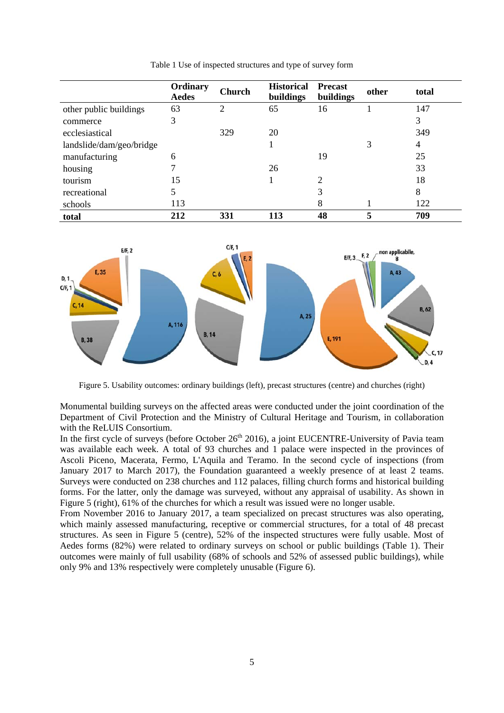|                          | Ordinary<br><b>Aedes</b> | <b>Church</b>  | <b>Historical</b><br>buildings | <b>Precast</b><br>buildings | other | total |
|--------------------------|--------------------------|----------------|--------------------------------|-----------------------------|-------|-------|
| other public buildings   | 63                       | $\overline{2}$ | 65                             | 16                          |       | 147   |
| commerce                 | 3                        |                |                                |                             |       | 3     |
| ecclesiastical           |                          | 329            | 20                             |                             |       | 349   |
| landslide/dam/geo/bridge |                          |                |                                |                             | 3     | 4     |
| manufacturing            | 6                        |                |                                | 19                          |       | 25    |
| housing                  |                          |                | 26                             |                             |       | 33    |
| tourism                  | 15                       |                |                                | $\overline{2}$              |       | 18    |
| recreational             |                          |                |                                | 3                           |       | 8     |
| schools                  | 113                      |                |                                | 8                           |       | 122   |
| total                    | 212                      | 331            | 113                            | 48                          | 5     | 709   |

Table 1 Use of inspected structures and type of survey form



Figure 5. Usability outcomes: ordinary buildings (left), precast structures (centre) and churches (right)

Monumental building surveys on the affected areas were conducted under the joint coordination of the Department of Civil Protection and the Ministry of Cultural Heritage and Tourism, in collaboration with the ReLUIS Consortium.

In the first cycle of surveys (before October 26<sup>th</sup> 2016), a joint EUCENTRE-University of Pavia team was available each week. A total of 93 churches and 1 palace were inspected in the provinces of Ascoli Piceno, Macerata, Fermo, L'Aquila and Teramo. In the second cycle of inspections (from January 2017 to March 2017), the Foundation guaranteed a weekly presence of at least 2 teams. Surveys were conducted on 238 churches and 112 palaces, filling church forms and historical building forms. For the latter, only the damage was surveyed, without any appraisal of usability. As shown in Figure 5 (right), 61% of the churches for which a result was issued were no longer usable.

From November 2016 to January 2017, a team specialized on precast structures was also operating, which mainly assessed manufacturing, receptive or commercial structures, for a total of 48 precast structures. As seen in Figure 5 (centre), 52% of the inspected structures were fully usable. Most of Aedes forms (82%) were related to ordinary surveys on school or public buildings (Table 1). Their outcomes were mainly of full usability (68% of schools and 52% of assessed public buildings), while only 9% and 13% respectively were completely unusable (Figure 6).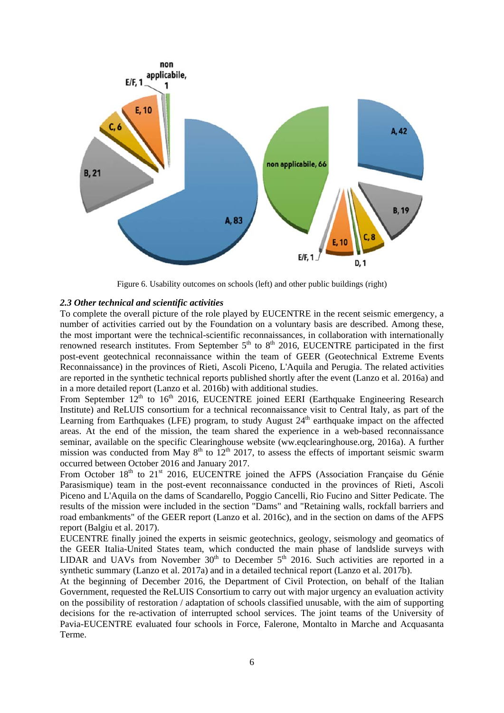

Figure 6. Usability outcomes on schools (left) and other public buildings (right)

## *2.3 Other technical and scientific activities*

To complete the overall picture of the role played by EUCENTRE in the recent seismic emergency, a number of activities carried out by the Foundation on a voluntary basis are described. Among these, the most important were the technical-scientific reconnaissances, in collaboration with internationally renowned research institutes. From September  $5<sup>th</sup>$  to  $8<sup>th</sup>$  2016, EUCENTRE participated in the first post-event geotechnical reconnaissance within the team of GEER (Geotechnical Extreme Events Reconnaissance) in the provinces of Rieti, Ascoli Piceno, L'Aquila and Perugia. The related activities are reported in the synthetic technical reports published shortly after the event (Lanzo et al. 2016a) and in a more detailed report (Lanzo et al. 2016b) with additional studies.

From September  $12<sup>th</sup>$  to 16<sup>th</sup> 2016, EUCENTRE joined EERI (Earthquake Engineering Research Institute) and ReLUIS consortium for a technical reconnaissance visit to Central Italy, as part of the Learning from Earthquakes (LFE) program, to study August  $24<sup>th</sup>$  earthquake impact on the affected areas. At the end of the mission, the team shared the experience in a web-based reconnaissance seminar, available on the specific Clearinghouse website (ww.eqclearinghouse.org, 2016a). A further mission was conducted from May  $8<sup>th</sup>$  to  $12<sup>th</sup>$  2017, to assess the effects of important seismic swarm occurred between October 2016 and January 2017.

From October 18<sup>th</sup> to 21<sup>st</sup> 2016, EUCENTRE joined the AFPS (Association Française du Génie Parasismique) team in the post-event reconnaissance conducted in the provinces of Rieti, Ascoli Piceno and L'Aquila on the dams of Scandarello, Poggio Cancelli, Rio Fucino and Sitter Pedicate. The results of the mission were included in the section "Dams" and "Retaining walls, rockfall barriers and road embankments" of the GEER report (Lanzo et al. 2016c), and in the section on dams of the AFPS report (Balgiu et al. 2017).

EUCENTRE finally joined the experts in seismic geotechnics, geology, seismology and geomatics of the GEER Italia-United States team, which conducted the main phase of landslide surveys with LIDAR and UAVs from November  $30<sup>th</sup>$  to December  $5<sup>th</sup>$  2016. Such activities are reported in a synthetic summary (Lanzo et al. 2017a) and in a detailed technical report (Lanzo et al. 2017b).

At the beginning of December 2016, the Department of Civil Protection, on behalf of the Italian Government, requested the ReLUIS Consortium to carry out with major urgency an evaluation activity on the possibility of restoration / adaptation of schools classified unusable, with the aim of supporting decisions for the re-activation of interrupted school services. The joint teams of the University of Pavia-EUCENTRE evaluated four schools in Force, Falerone, Montalto in Marche and Acquasanta Terme.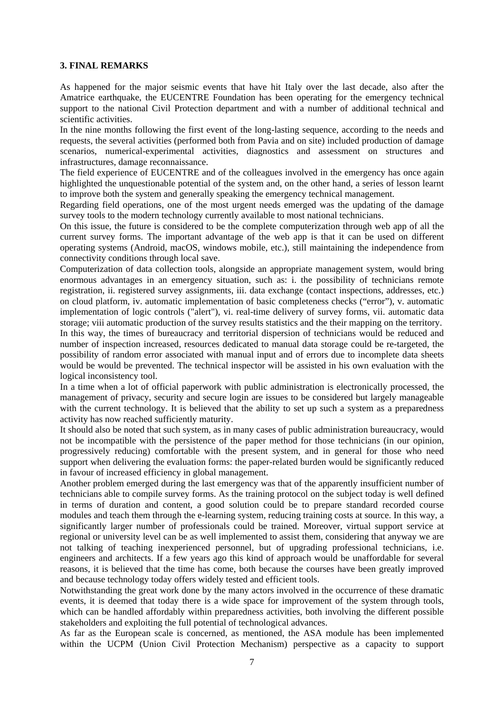#### **3. FINAL REMARKS**

As happened for the major seismic events that have hit Italy over the last decade, also after the Amatrice earthquake, the EUCENTRE Foundation has been operating for the emergency technical support to the national Civil Protection department and with a number of additional technical and scientific activities.

In the nine months following the first event of the long-lasting sequence, according to the needs and requests, the several activities (performed both from Pavia and on site) included production of damage scenarios, numerical-experimental activities, diagnostics and assessment on structures and infrastructures, damage reconnaissance.

The field experience of EUCENTRE and of the colleagues involved in the emergency has once again highlighted the unquestionable potential of the system and, on the other hand, a series of lesson learnt to improve both the system and generally speaking the emergency technical management.

Regarding field operations, one of the most urgent needs emerged was the updating of the damage survey tools to the modern technology currently available to most national technicians.

On this issue, the future is considered to be the complete computerization through web app of all the current survey forms. The important advantage of the web app is that it can be used on different operating systems (Android, macOS, windows mobile, etc.), still maintaining the independence from connectivity conditions through local save.

Computerization of data collection tools, alongside an appropriate management system, would bring enormous advantages in an emergency situation, such as: i. the possibility of technicians remote registration, ii. registered survey assignments, iii. data exchange (contact inspections, addresses, etc.) on cloud platform, iv. automatic implementation of basic completeness checks ("error"), v. automatic implementation of logic controls ("alert"), vi. real-time delivery of survey forms, vii. automatic data storage; viii automatic production of the survey results statistics and the their mapping on the territory. In this way, the times of bureaucracy and territorial dispersion of technicians would be reduced and number of inspection increased, resources dedicated to manual data storage could be re-targeted, the possibility of random error associated with manual input and of errors due to incomplete data sheets would be would be prevented. The technical inspector will be assisted in his own evaluation with the logical inconsistency tool.

In a time when a lot of official paperwork with public administration is electronically processed, the management of privacy, security and secure login are issues to be considered but largely manageable with the current technology. It is believed that the ability to set up such a system as a preparedness activity has now reached sufficiently maturity.

It should also be noted that such system, as in many cases of public administration bureaucracy, would not be incompatible with the persistence of the paper method for those technicians (in our opinion, progressively reducing) comfortable with the present system, and in general for those who need support when delivering the evaluation forms: the paper-related burden would be significantly reduced in favour of increased efficiency in global management.

Another problem emerged during the last emergency was that of the apparently insufficient number of technicians able to compile survey forms. As the training protocol on the subject today is well defined in terms of duration and content, a good solution could be to prepare standard recorded course modules and teach them through the e-learning system, reducing training costs at source. In this way, a significantly larger number of professionals could be trained. Moreover, virtual support service at regional or university level can be as well implemented to assist them, considering that anyway we are not talking of teaching inexperienced personnel, but of upgrading professional technicians, i.e. engineers and architects. If a few years ago this kind of approach would be unaffordable for several reasons, it is believed that the time has come, both because the courses have been greatly improved and because technology today offers widely tested and efficient tools.

Notwithstanding the great work done by the many actors involved in the occurrence of these dramatic events, it is deemed that today there is a wide space for improvement of the system through tools, which can be handled affordably within preparedness activities, both involving the different possible stakeholders and exploiting the full potential of technological advances.

As far as the European scale is concerned, as mentioned, the ASA module has been implemented within the UCPM (Union Civil Protection Mechanism) perspective as a capacity to support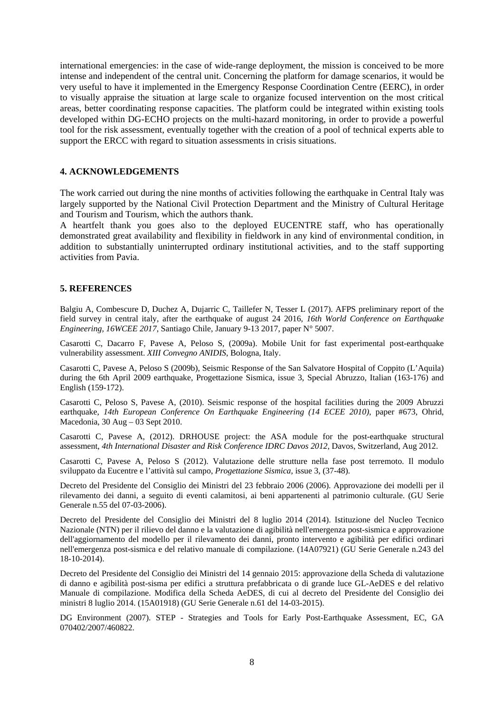international emergencies: in the case of wide-range deployment, the mission is conceived to be more intense and independent of the central unit. Concerning the platform for damage scenarios, it would be very useful to have it implemented in the Emergency Response Coordination Centre (EERC), in order to visually appraise the situation at large scale to organize focused intervention on the most critical areas, better coordinating response capacities. The platform could be integrated within existing tools developed within DG-ECHO projects on the multi-hazard monitoring, in order to provide a powerful tool for the risk assessment, eventually together with the creation of a pool of technical experts able to support the ERCC with regard to situation assessments in crisis situations.

#### **4. ACKNOWLEDGEMENTS**

The work carried out during the nine months of activities following the earthquake in Central Italy was largely supported by the National Civil Protection Department and the Ministry of Cultural Heritage and Tourism and Tourism, which the authors thank.

A heartfelt thank you goes also to the deployed EUCENTRE staff, who has operationally demonstrated great availability and flexibility in fieldwork in any kind of environmental condition, in addition to substantially uninterrupted ordinary institutional activities, and to the staff supporting activities from Pavia.

#### **5. REFERENCES**

Balgiu A, Combescure D, Duchez A, Dujarric C, Taillefer N, Tesser L (2017). AFPS preliminary report of the field survey in central italy, after the earthquake of august 24 2016, *16th World Conference on Earthquake Engineering, 16WCEE 2017*, Santiago Chile, January 9-13 2017, paper N° 5007.

Casarotti C, Dacarro F, Pavese A, Peloso S, (2009a). Mobile Unit for fast experimental post-earthquake vulnerability assessment. *XIII Convegno ANIDIS*, Bologna, Italy.

Casarotti C, Pavese A, Peloso S (2009b), Seismic Response of the San Salvatore Hospital of Coppito (L'Aquila) during the 6th April 2009 earthquake, Progettazione Sismica, issue 3, Special Abruzzo, Italian (163-176) and English (159-172).

Casarotti C, Peloso S, Pavese A, (2010). Seismic response of the hospital facilities during the 2009 Abruzzi earthquake, *14th European Conference On Earthquake Engineering (14 ECEE 2010)*, paper #673, Ohrid, Macedonia,  $30 \text{ Aug} - 03 \text{ Sept } 2010$ .

Casarotti C, Pavese A, (2012). DRHOUSE project: the ASA module for the post-earthquake structural assessment, *4th International Disaster and Risk Conference IDRC Davos 2012*, Davos, Switzerland, Aug 2012.

Casarotti C, Pavese A, Peloso S (2012). Valutazione delle strutture nella fase post terremoto. Il modulo sviluppato da Eucentre e l'attività sul campo, *Progettazione Sismica*, issue 3, (37-48).

Decreto del Presidente del Consiglio dei Ministri del 23 febbraio 2006 (2006). Approvazione dei modelli per il rilevamento dei danni, a seguito di eventi calamitosi, ai beni appartenenti al patrimonio culturale. (GU Serie Generale n.55 del 07-03-2006).

Decreto del Presidente del Consiglio dei Ministri del 8 luglio 2014 (2014). Istituzione del Nucleo Tecnico Nazionale (NTN) per il rilievo del danno e la valutazione di agibilità nell'emergenza post-sismica e approvazione dell'aggiornamento del modello per il rilevamento dei danni, pronto intervento e agibilità per edifici ordinari nell'emergenza post-sismica e del relativo manuale di compilazione. (14A07921) (GU Serie Generale n.243 del 18-10-2014).

Decreto del Presidente del Consiglio dei Ministri del 14 gennaio 2015: approvazione della Scheda di valutazione di danno e agibilità post-sisma per edifici a struttura prefabbricata o di grande luce GL-AeDES e del relativo Manuale di compilazione. Modifica della Scheda AeDES, di cui al decreto del Presidente del Consiglio dei ministri 8 luglio 2014. (15A01918) (GU Serie Generale n.61 del 14-03-2015).

DG Environment (2007). STEP - Strategies and Tools for Early Post-Earthquake Assessment, EC, GA 070402/2007/460822.